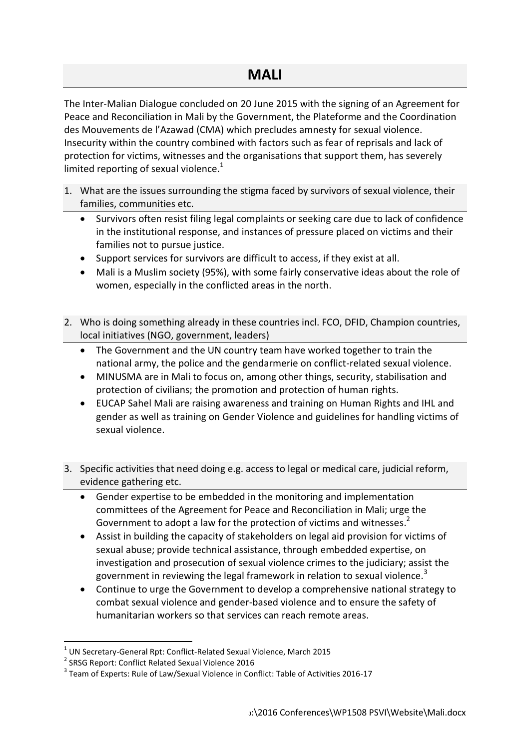The Inter-Malian Dialogue concluded on 20 June 2015 with the signing of an Agreement for Peace and Reconciliation in Mali by the Government, the Plateforme and the Coordination des Mouvements de l'Azawad (CMA) which precludes amnesty for sexual violence. Insecurity within the country combined with factors such as fear of reprisals and lack of protection for victims, witnesses and the organisations that support them, has severely limited reporting of sexual violence. $<sup>1</sup>$ </sup>

- 1. What are the issues surrounding the stigma faced by survivors of sexual violence, their families, communities etc.
	- Survivors often resist filing legal complaints or seeking care due to lack of confidence in the institutional response, and instances of pressure placed on victims and their families not to pursue justice.
	- Support services for survivors are difficult to access, if they exist at all.
	- Mali is a Muslim society (95%), with some fairly conservative ideas about the role of women, especially in the conflicted areas in the north.
- 2. Who is doing something already in these countries incl. FCO, DFID, Champion countries, local initiatives (NGO, government, leaders)
	- The Government and the UN country team have worked together to train the national army, the police and the gendarmerie on conflict-related sexual violence.
	- MINUSMA are in Mali to focus on, among other things, security, stabilisation and protection of civilians; the promotion and protection of human rights.
	- EUCAP Sahel Mali are raising awareness and training on Human Rights and IHL and gender as well as training on Gender Violence and guidelines for handling victims of sexual violence.
- 3. Specific activities that need doing e.g. access to legal or medical care, judicial reform, evidence gathering etc.
	- Gender expertise to be embedded in the monitoring and implementation committees of the Agreement for Peace and Reconciliation in Mali; urge the Government to adopt a law for the protection of victims and witnesses.<sup>2</sup>
	- Assist in building the capacity of stakeholders on legal aid provision for victims of sexual abuse; provide technical assistance, through embedded expertise, on investigation and prosecution of sexual violence crimes to the judiciary; assist the government in reviewing the legal framework in relation to sexual violence.<sup>3</sup>
	- Continue to urge the Government to develop a comprehensive national strategy to combat sexual violence and gender-based violence and to ensure the safety of humanitarian workers so that services can reach remote areas.

**.** 

 $<sup>1</sup>$  UN Secretary-General Rpt: Conflict-Related Sexual Violence, March 2015</sup>

<sup>&</sup>lt;sup>2</sup> SRSG Report: Conflict Related Sexual Violence 2016

<sup>&</sup>lt;sup>3</sup> Team of Experts: Rule of Law/Sexual Violence in Conflict: Table of Activities 2016-17